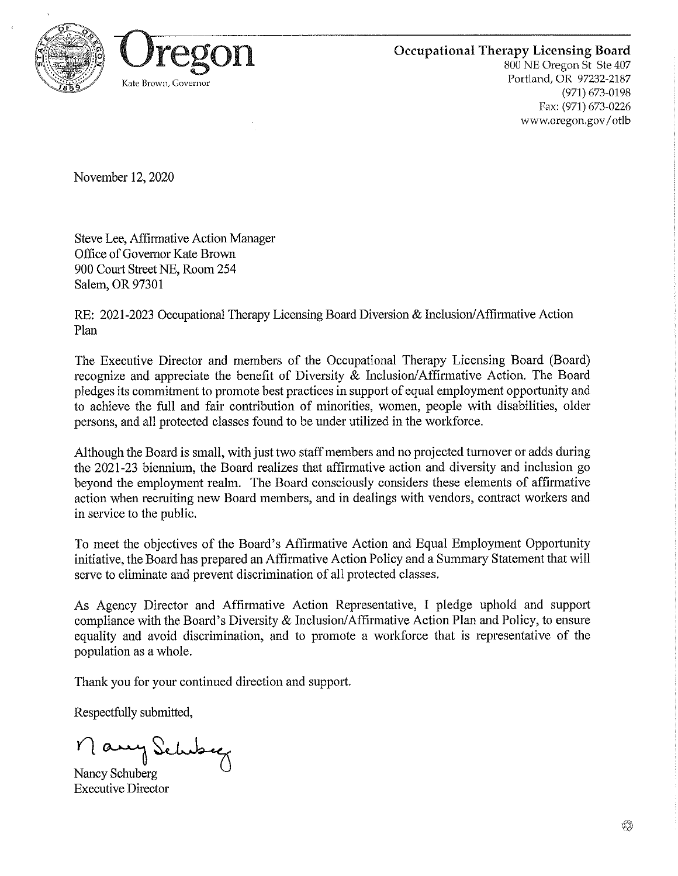



800 NE Oregon St Ste 407 Portland, OR 97232-2187 (971) 673-0198 Fax: (971) 673-0226 www,oregon,gov/otlb

November 12,2020

Steve Lee, Affirmative Action Manager Office of Governor Kate Brown 900 Court Street NE, Room 254 Salem, OR 97301

RE: 2021-2023 Occupational Therapy Licensing Board Diversion & Inclusion/Affirmative Action Plan

The Executive Director and members of the Occupational Therapy Licensing Board (Board) recognize and appreciate the benefit of Diversity & Inclusion/Affh'mative Action. The Board pledges its commitment to promote best practices in support of equal employment opportunity and to achieve the full and fair contribution of minorities, women, people with disabilities, older persons, and all protected classes found to be under utilized in the workforce.

Although the Board is small, with just two staff members and no projected turnover or adds during the 2021-23 biennium, the Board realizes that affirmative action and diversity and inclusion go beyond the employment realm. The Board consciously considers these elements of affirmative action when recruiting new Board members, and in dealings with vendors, contract workers and in service to the public.

To meet the objectives of the Board's Affirmative Action and Equal Employment Opportunity initiative, the Board has prepared an Affirmative Action Policy and a Summary Statement that will serve to eliminate and prevent discrimination of all protected classes.

As Agency Director and Affirmative Action Representative, I pledge uphold and support compliance with the Board's Diversity & Inclusion/Afflrmative Action Plan and Policy, to ensure equality and avoid discrimination, and to promote a workforce that is representative of the population as a whole.

Thank you for your continued direction and support.

Respectfully submitted,

 $n$  any Schuber

Nancy Schuberg Executive Director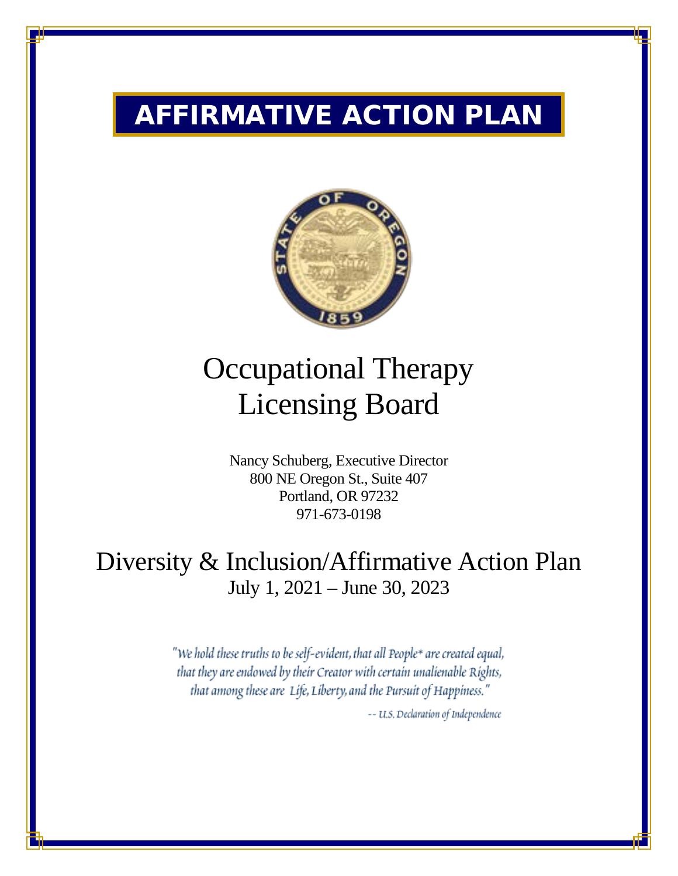# AFFIRMATIVE ACTION PLAN



# Occupational Therapy Licensing Board

Nancy Schuberg, Executive Director 800 NE Oregon St., Suite 407 Portland, OR 97232 971-673-0198

# Diversity & Inclusion/Affirmative Action Plan July 1, 2021 – June 30, 2023

"We hold these truths to be self-evident, that all People\* are created equal, that they are endowed by their Creator with certain unalienable Rights, that among these are Life, Liberty, and the Pursuit of Happiness." -- U.S. Declaration of Independence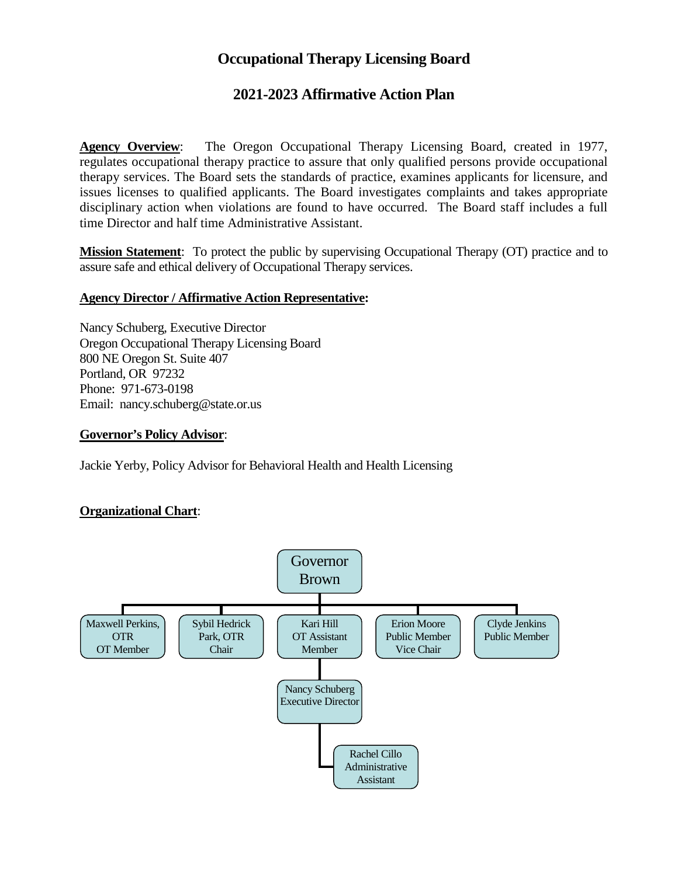### **2021-2023 Affirmative Action Plan**

**Agency Overview**: The Oregon Occupational Therapy Licensing Board, created in 1977, regulates occupational therapy practice to assure that only qualified persons provide occupational therapy services. The Board sets the standards of practice, examines applicants for licensure, and issues licenses to qualified applicants. The Board investigates complaints and takes appropriate disciplinary action when violations are found to have occurred. The Board staff includes a full time Director and half time Administrative Assistant.

**Mission Statement**: To protect the public by supervising Occupational Therapy (OT) practice and to assure safe and ethical delivery of Occupational Therapy services.

#### **Agency Director / Affirmative Action Representative:**

Nancy Schuberg, Executive Director Oregon Occupational Therapy Licensing Board 800 NE Oregon St. Suite 407 Portland, OR 97232 Phone: 971-673-0198 Email: nancy.schuberg@state.or.us

#### **Governor's Policy Advisor**:

Jackie Yerby, Policy Advisor for Behavioral Health and Health Licensing

#### **Organizational Chart**:

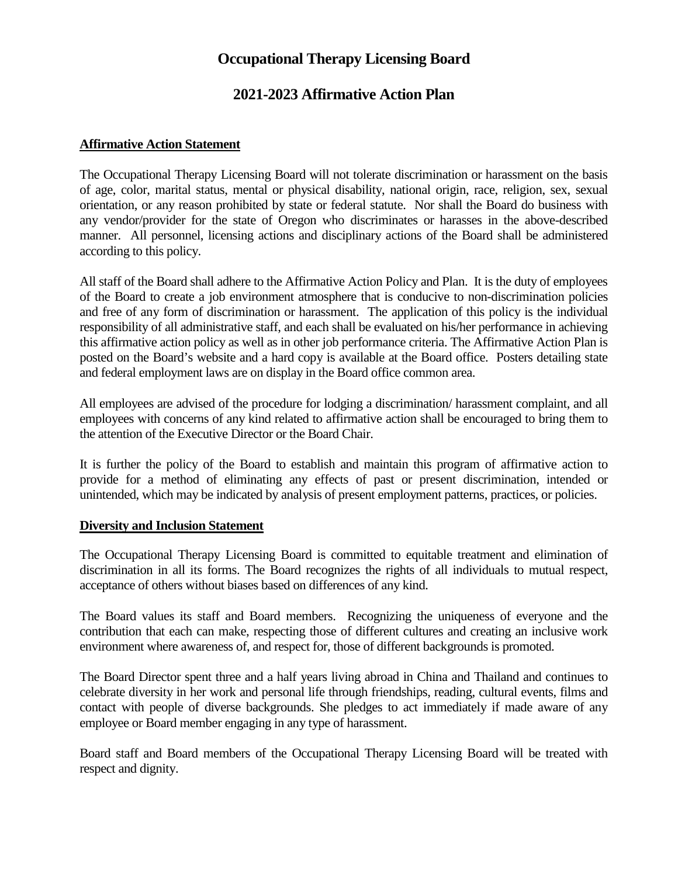### **2021-2023 Affirmative Action Plan**

### **Affirmative Action Statement**

The Occupational Therapy Licensing Board will not tolerate discrimination or harassment on the basis of age, color, marital status, mental or physical disability, national origin, race, religion, sex, sexual orientation, or any reason prohibited by state or federal statute. Nor shall the Board do business with any vendor/provider for the state of Oregon who discriminates or harasses in the above-described manner. All personnel, licensing actions and disciplinary actions of the Board shall be administered according to this policy.

All staff of the Board shall adhere to the Affirmative Action Policy and Plan. It is the duty of employees of the Board to create a job environment atmosphere that is conducive to non-discrimination policies and free of any form of discrimination or harassment. The application of this policy is the individual responsibility of all administrative staff, and each shall be evaluated on his/her performance in achieving this affirmative action policy as well as in other job performance criteria. The Affirmative Action Plan is posted on the Board's website and a hard copy is available at the Board office. Posters detailing state and federal employment laws are on display in the Board office common area.

All employees are advised of the procedure for lodging a discrimination/ harassment complaint, and all employees with concerns of any kind related to affirmative action shall be encouraged to bring them to the attention of the Executive Director or the Board Chair.

It is further the policy of the Board to establish and maintain this program of affirmative action to provide for a method of eliminating any effects of past or present discrimination, intended or unintended, which may be indicated by analysis of present employment patterns, practices, or policies.

#### **Diversity and Inclusion Statement**

The Occupational Therapy Licensing Board is committed to equitable treatment and elimination of discrimination in all its forms. The Board recognizes the rights of all individuals to mutual respect, acceptance of others without biases based on differences of any kind.

The Board values its staff and Board members. Recognizing the uniqueness of everyone and the contribution that each can make, respecting those of different cultures and creating an inclusive work environment where awareness of, and respect for, those of different backgrounds is promoted.

The Board Director spent three and a half years living abroad in China and Thailand and continues to celebrate diversity in her work and personal life through friendships, reading, cultural events, films and contact with people of diverse backgrounds. She pledges to act immediately if made aware of any employee or Board member engaging in any type of harassment.

Board staff and Board members of the Occupational Therapy Licensing Board will be treated with respect and dignity.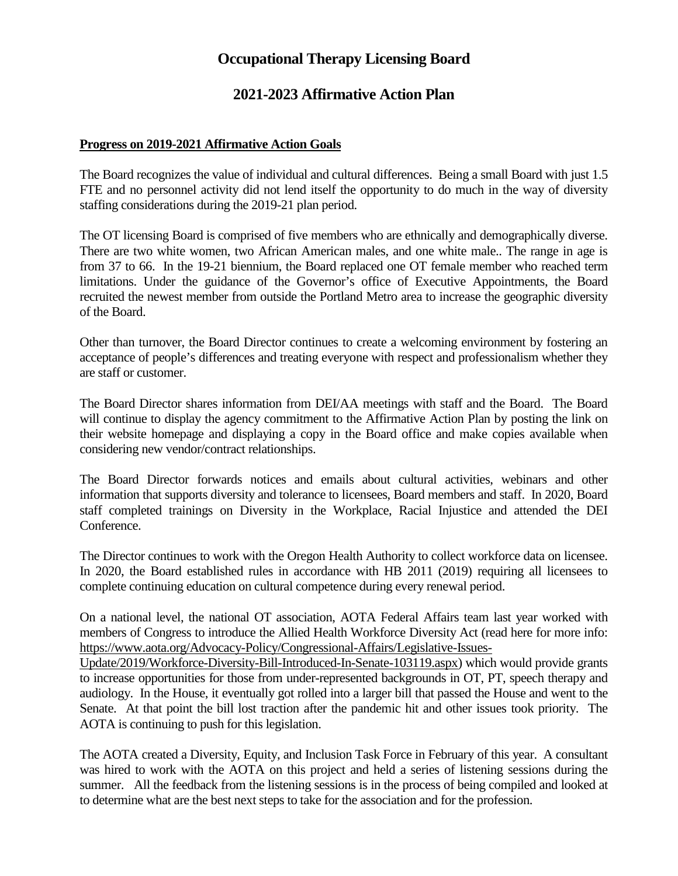### **2021-2023 Affirmative Action Plan**

#### **Progress on 2019-2021 Affirmative Action Goals**

The Board recognizes the value of individual and cultural differences. Being a small Board with just 1.5 FTE and no personnel activity did not lend itself the opportunity to do much in the way of diversity staffing considerations during the 2019-21 plan period.

The OT licensing Board is comprised of five members who are ethnically and demographically diverse. There are two white women, two African American males, and one white male.. The range in age is from 37 to 66. In the 19-21 biennium, the Board replaced one OT female member who reached term limitations. Under the guidance of the Governor's office of Executive Appointments, the Board recruited the newest member from outside the Portland Metro area to increase the geographic diversity of the Board.

Other than turnover, the Board Director continues to create a welcoming environment by fostering an acceptance of people's differences and treating everyone with respect and professionalism whether they are staff or customer.

The Board Director shares information from DEI/AA meetings with staff and the Board. The Board will continue to display the agency commitment to the Affirmative Action Plan by posting the link on their website homepage and displaying a copy in the Board office and make copies available when considering new vendor/contract relationships.

The Board Director forwards notices and emails about cultural activities, webinars and other information that supports diversity and tolerance to licensees, Board members and staff. In 2020, Board staff completed trainings on Diversity in the Workplace, Racial Injustice and attended the DEI Conference.

The Director continues to work with the Oregon Health Authority to collect workforce data on licensee. In 2020, the Board established rules in accordance with HB 2011 (2019) requiring all licensees to complete continuing education on cultural competence during every renewal period.

On a national level, the national OT association, AOTA Federal Affairs team last year worked with members of Congress to introduce the Allied Health Workforce Diversity Act (read here for more info: [https://www.aota.org/Advocacy-Policy/Congressional-Affairs/Legislative-Issues-](https://www.aota.org/Advocacy-Policy/Congressional-Affairs/Legislative-Issues-Update/2019/Workforce-Diversity-Bill-Introduced-In-Senate-103119.aspx)

[Update/2019/Workforce-Diversity-Bill-Introduced-In-Senate-103119.aspx\)](https://www.aota.org/Advocacy-Policy/Congressional-Affairs/Legislative-Issues-Update/2019/Workforce-Diversity-Bill-Introduced-In-Senate-103119.aspx) which would provide grants to increase opportunities for those from under-represented backgrounds in OT, PT, speech therapy and audiology. In the House, it eventually got rolled into a larger bill that passed the House and went to the Senate. At that point the bill lost traction after the pandemic hit and other issues took priority. The AOTA is continuing to push for this legislation.

The AOTA created a Diversity, Equity, and Inclusion Task Force in February of this year. A consultant was hired to work with the AOTA on this project and held a series of listening sessions during the summer. All the feedback from the listening sessions is in the process of being compiled and looked at to determine what are the best next steps to take for the association and for the profession.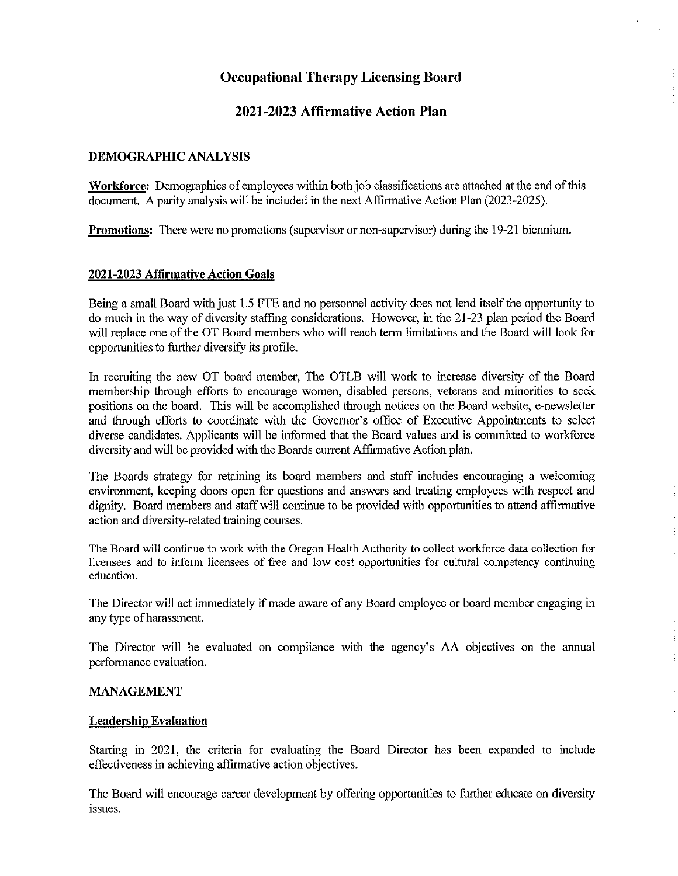### 2021-2023 Affirmative Action Plan

#### DEMOGRAPHIC ANALYSIS

Workforce: Demographics of employees within both job classifications are attached at the end of this document. A parity analysis will be included in the next Affirmative Action Plan (2023-2025).

**Promotions:** There were no promotions (supervisor or non-supervisor) during the 19-21 biennium.

#### 2021-2023 Affirmative Action Goals

Being a small Board with just 1.5 FTE and no personnel activity does not lend itself the opportunity to do much in the way of diversity staffing considerations. However, in the 21-23 plan period the Board will replace one of the OT Board members who will reach term limitations and the Board will look for opportunities to further diversify its profile.

In recruiting the new OT board member, The OTLB will work to increase diversity of the Board membership through efforts to encourage women, disabled persons, veterans and minorities to seek positions on the board. This will be accomplished through notices on the Board website, e-newsletter and through efforts to coordinate with the Governor's office of Executive Appointments to select diverse candidates. Applicants will be informed that the Board values and is committed to workforce diversity and will be provided with the Boards current Affirmative Action plan.

The Boards strategy for retaining its board members and staff includes encouraging a welcoming environment, keeping doors open for questions and answers and treating employees with respect and dignity. Board members and staff will continue to be provided with opportunities to attend affirmative action and diversity-related training courses.

The Board will continue to work with the Oregon Health Authority to collect workforce data collection for licensees and to inform licensees of free and low cost opportunities for cultural competency continuing education.

The Director will act immediately if made aware of any Board employee or board member engaging in any type of harassment.

The Director will be evaluated on compliance with the agency's AA objectives on the annual performance evaluation.

#### MANAGEMENT

#### Leadership Evaluation

Starting in 2021, the criteria for evaluating the Board Director has been expanded to include effectiveness in achieving affirmative action objectives.

The Board will encourage career development by offering opportunities to further educate on diversity issues.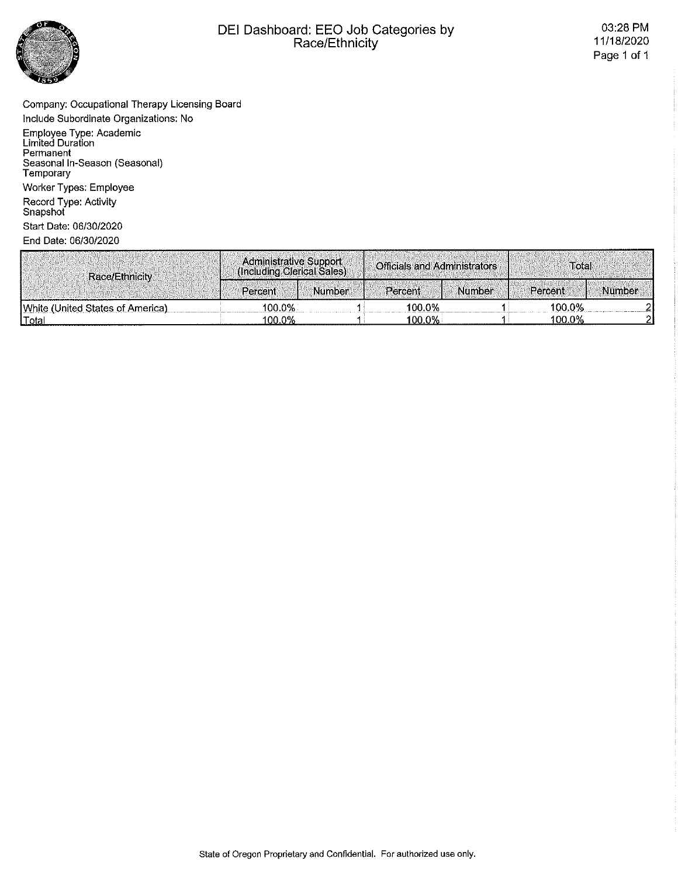

# DEI Dashboard: EEO Job Categories by<br>Race/Ethnicity

Company: Occupational Therapy Licensing Board Include Subordinate Organizations: No

Employee Type: Academic<br>Limited Duration Permanent<br>Seasonal In-Season (Seasonal) Temporary Worker Types: Employee Record Type: Activity<br>Snapshot

Start Date: 06/30/2020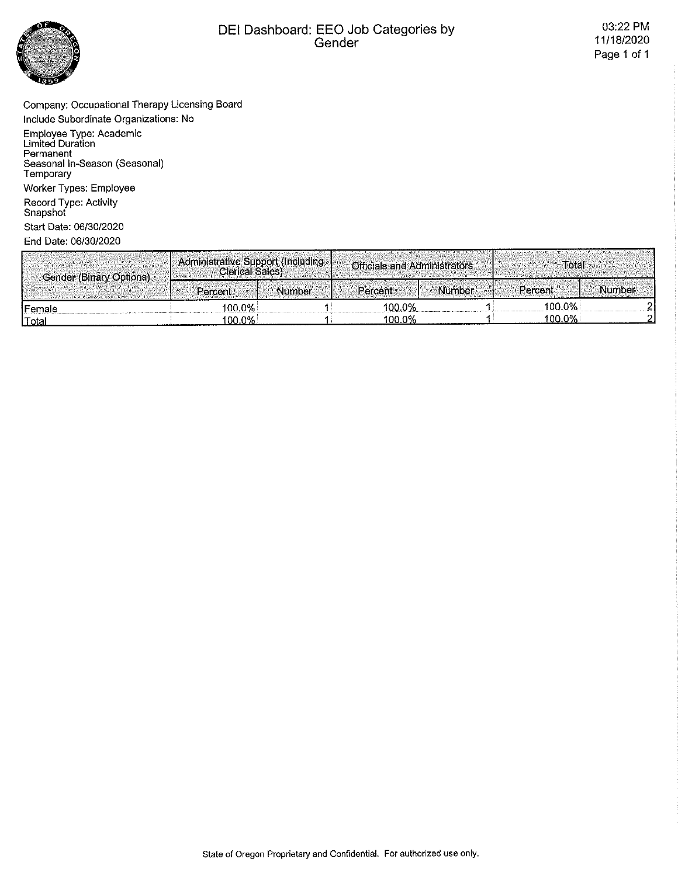

# DEI Dashboard: EEO Job Categories by<br>Gender

Company: Occupational Therapy Licensing Board Include Subordinate Organizations: No

Employee Type: Academic<br>Limited Duration<br>Permanent Seasonal In-Season (Seasonal)<br>Temporary Worker Types: Employee

Record Type: Activity<br>Snapshot Start Date: 06/30/2020

| Gender (Binary Options) | Administrative Support (Including<br><b>Clerical Sales)</b> |        | <b>Officials and Administrators</b> |        | Total     |               |
|-------------------------|-------------------------------------------------------------|--------|-------------------------------------|--------|-----------|---------------|
|                         | Percent                                                     | Number | Percent                             | Number | Percent   | <b>Number</b> |
| <b>IFemale</b>          | 100 ዐ%                                                      |        | 100.0%                              |        | 100.0%    |               |
| Total                   | 100.0%                                                      |        | 100.0%                              |        | $100.0\%$ |               |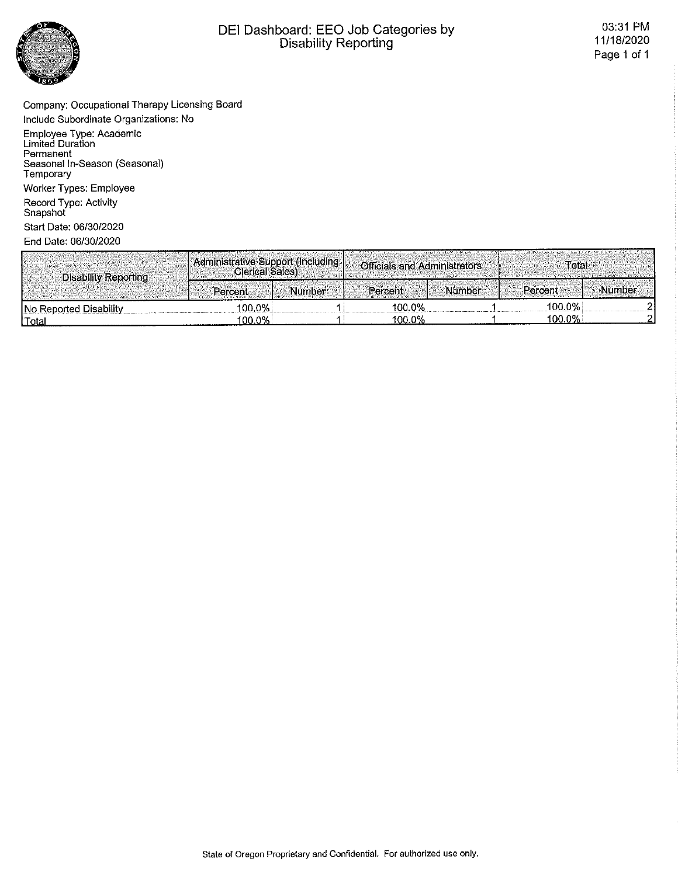

# DEI Dashboard: EEO Job Categories by<br>Disability Reporting

Company: Occupational Therapy Licensing Board Include Subordinate Organizations: No

Employee Type: Academic<br>Limited Duration<br>Permanent Seasonal In-Season (Seasonal)<br>Temporary Worker Types: Employee Record Type: Activity<br>Snapshot

Start Date: 06/30/2020

| <b>Disability Reporting</b> | ' Administrative Support (Including  <br>Clerical Sales) |        | <b>Officials and Administrators</b> |        | Total     |        |
|-----------------------------|----------------------------------------------------------|--------|-------------------------------------|--------|-----------|--------|
|                             | Percent                                                  | Number | Percent                             | Number | Percent   | Number |
| No Reported Disability      | 100.0%                                                   |        | 100.0%                              |        | 100.0%    |        |
| <u>  Total</u>              | 100.0%                                                   |        | 100.0%                              |        | $100.0\%$ |        |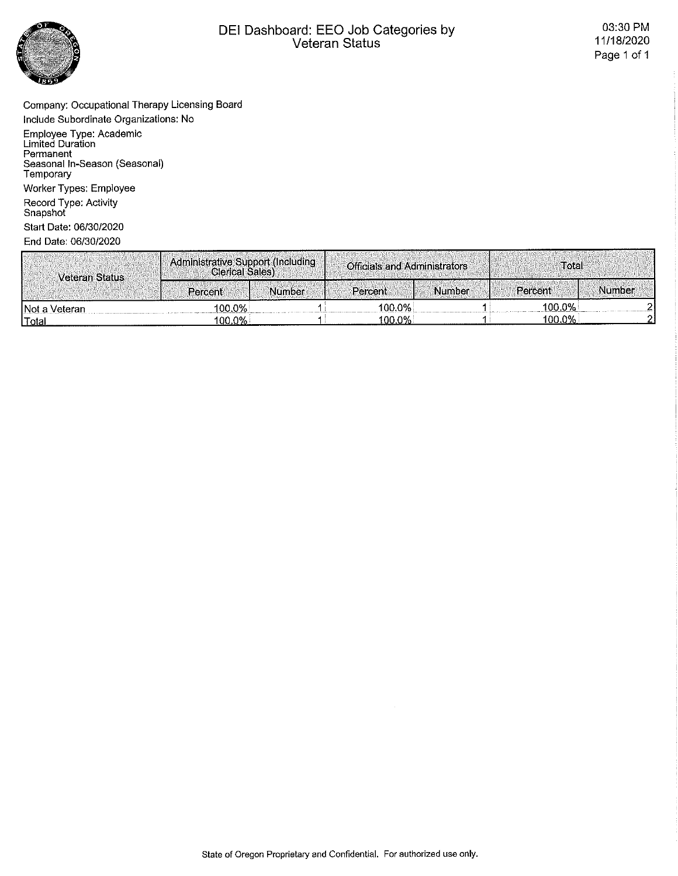

# DEI Dashboard: EEO Job Categories by<br>Veteran Status

Company: Occupational Therapy Licensing Board Include Subordinate Organizations: No

Employee Type: Academic<br>Limited Duration<br>Permanent Seasonal In-Season (Seasonal)<br>Temporary Worker Types: Employee

Record Type: Activity<br>Snapshot Start Date: 06/30/2020

| Veteran Status | Administrative Support (Including<br><b>Clerical Sales)</b> |               | <b>Officials and Administrators</b> |               | Total     |        |
|----------------|-------------------------------------------------------------|---------------|-------------------------------------|---------------|-----------|--------|
|                | Percent                                                     | <b>Number</b> | Percent:                            | <b>Number</b> | Percent   | Number |
| INot a Veteran | 100.0%                                                      |               | 100.0%                              |               | $100.0\%$ |        |
| <u>  Total</u> | $100.0\%$                                                   |               | 100.0%                              |               | $100.0\%$ |        |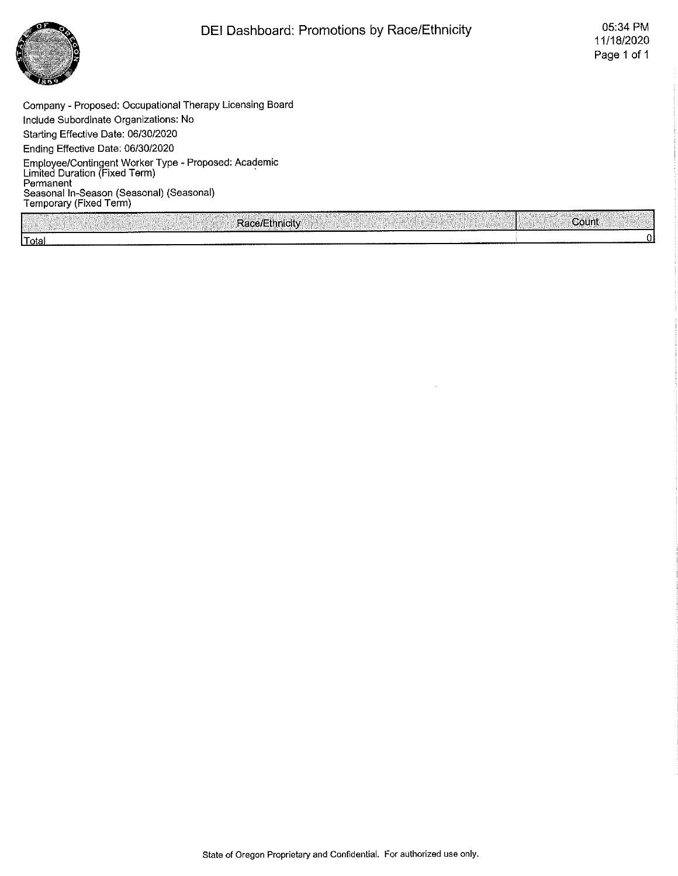

Company - Proposed: Occupational Therapy Licensing Board Include Subordinate Organizations: No Starting Effective Date: 06/30/2020 Ending Effective Date; 06/30/2020 Employee/Contingent Worker Type - Proposed: Academic Limited Duration (Fixed Term) Permanent Seasonal In-Season (Seasonal) (Seasonal) Temporary (Fixed Term)

Race/Ethnicity **ISO'until a Countil and Countil Act of Countil Total** 

State of Oregon Proprietary and Confidential. For authorized use only.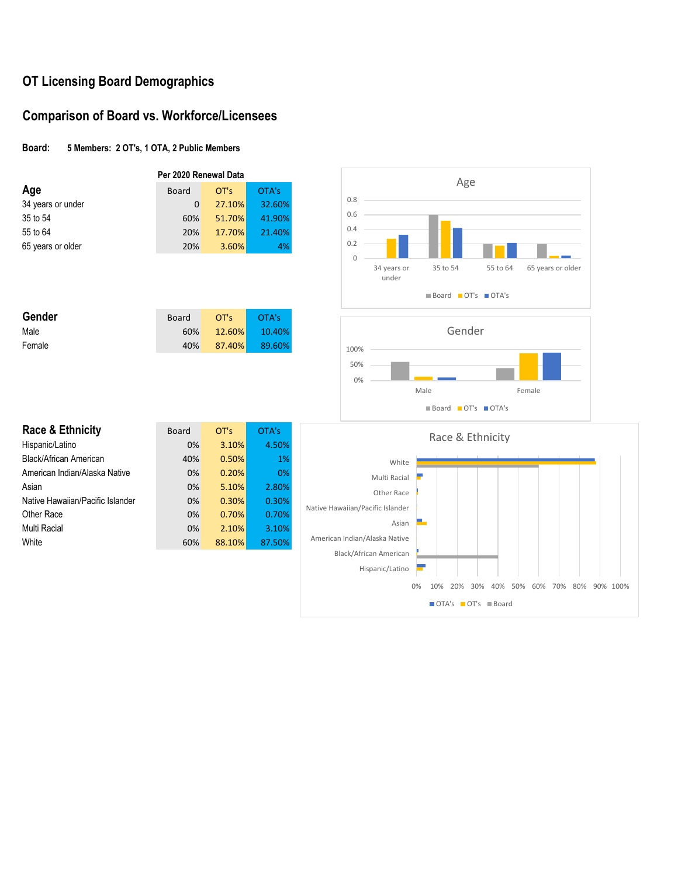# **OT Licensing Board Demographics**

### **Comparison of Board vs. Workforce/Licensees**

#### **Board: 5 Members: 2 OT's, 1 OTA, 2 Public Members**

|                   | Per 2020 Renewal Data |        |        |  |  |
|-------------------|-----------------------|--------|--------|--|--|
| Age               | <b>Board</b>          | OT's   | OTA's  |  |  |
| 34 years or under | 0                     | 27.10% | 32.60% |  |  |
| 35 to 54          | 60%                   | 51.70% | 41.90% |  |  |
| 55 to 64          | 20%                   | 17.70% | 21.40% |  |  |
| 65 years or older | 20%                   | 3.60%  | 4%     |  |  |

| Gender | Board | OT's | OTA's         |
|--------|-------|------|---------------|
| Male   | 60%   |      | 12.60% 10.40% |
| Female | 40%   |      | 87.40% 89.60% |

| Race & Ethnicity                 | <b>Board</b> | OT's   | OTA's  |
|----------------------------------|--------------|--------|--------|
| Hispanic/Latino                  | 0%           | 3.10%  | 4.50%  |
| Black/African American           | 40%          | 0.50%  | 1%     |
| American Indian/Alaska Native    | 0%           | 0.20%  | 0%     |
| Asian                            | 0%           | 5.10%  | 2.80%  |
| Native Hawaiian/Pacific Islander | 0%           | 0.30%  | 0.30%  |
| Other Race                       | 0%           | 0.70%  | 0.70%  |
| Multi Racial                     | 0%           | 2.10%  | 3.10%  |
| White                            | 60%          | 88.10% | 87.50% |
|                                  |              |        |        |

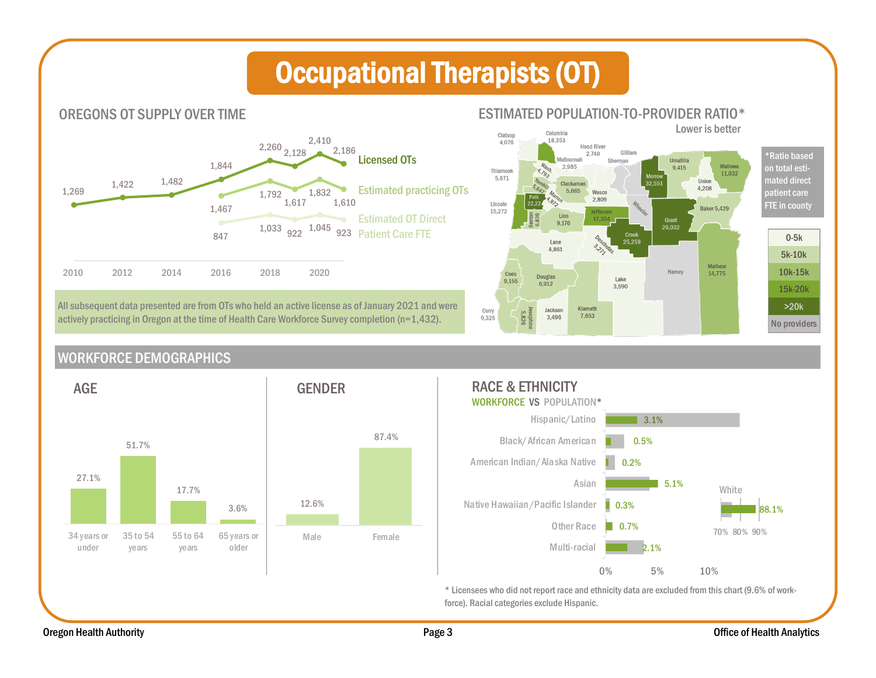# Occupational Therapists (OT)



All subsequent data presented are from OTs who held an active license as of January 2021 and were actively practicing in Oregon at the time of Health Care Workforce Survey completion (n=1,432).

Lower is better Columbia Clatsop  $18,353$ 4.076 **Hood River** Gilliam 2,740 \*Ratio based Aultnomah Sherman Umatilla Wallowa 2,985 9.415 on total esti-Tillamook 11,032 5.671 Union mated direct Clackamas 32.55  $4.208$ 5.665 Wasco patient care 2,809 Lincoln FTE in county **Baker 5.429** 15,272 efferso Linn 17,354 Grant<br> $26.032$  $9,176$ 0-5k 25,259 Lane 4,861 5k-10k Malheur Hamey 10k-15k 14,775 Coos **Douglas** Lake 9,155  $6.912$ 3.590 15k-20k >20k Klamath Curry<br>9,325 Jackson 5,826 7.653 3.496 No providers

WORKFORCE DEMOGRAPHICS



#### RACE & ETHNICITY WORKFORCE VS POPULATION\* Hispanic/Latino  $\blacksquare$  3.1% Black/African American 0.5% American Indian/Alaska Native 0.2% Asian 5.1% White Native Hawaiian/Pacific Islander Л 0.3% 88.1% Other Race  $\Box$  0.7% 70% 80% 90%  $2.1\%$ <br>2.1%<br>0% 5% 10% Multi-racial 2.1%

\* Licensees who did not report race and ethnicity data are excluded from this chart (9.6% of workforce). Racial categories exclude Hispanic.